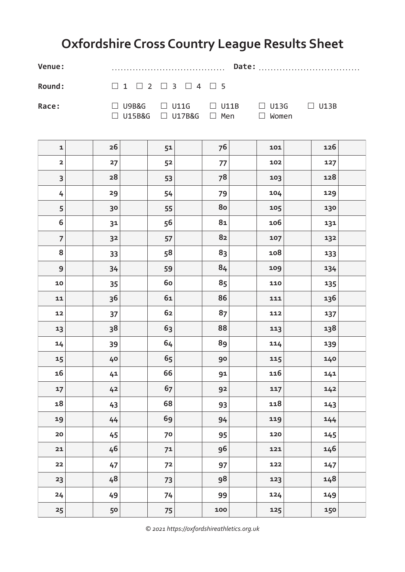## **Oxfordshire Cross Country League Results Sheet**

**Venue:** ...................................... **Date:** ..................................

**Round:**  $□ 1 □ 2 □ 3 □ 4 □ 5$ 

**Race:**  $□$  U9B&G  $□$  U11G  $□$  U11B  $□$  U13G  $□$  U13B  $\Box$  U15B&G  $\Box$  U17B&G  $\Box$  Men  $\Box$  Women

| $\mathbf 1$      | ${\bf 26}$     | 51   | 76   | 101 | 126 |  |
|------------------|----------------|------|------|-----|-----|--|
| $\mathbf{2}$     | 27             | 52   | 77   | 102 | 127 |  |
| 3                | 28             | 53   | 78   | 103 | 128 |  |
| 4                | 29             | 54   | 79   | 104 | 129 |  |
| $\sqrt{5}$       | 30             | 55   | 80   | 105 | 130 |  |
| $\boldsymbol{6}$ | 31             | 56   | $81$ | 106 | 131 |  |
| $\overline{7}$   | 3 <sup>2</sup> | 57   | 82   | 107 | 132 |  |
| 8                | 33             | 58   | 83   | 108 | 133 |  |
| $\mathbf 9$      | 34             | 59   | 84   | 109 | 134 |  |
| 10               | 35             | 60   | 85   | 110 | 135 |  |
| 11               | 36             | $61$ | 86   | 111 | 136 |  |
| 12               | 37             | 62   | 87   | 112 | 137 |  |
| 13               | 38             | 63   | 88   | 113 | 138 |  |
| 14               | 39             | 64   | 89   | 114 | 139 |  |
| 15               | 40             | 65   | 90   | 115 | 140 |  |
| 16               | 41             | 66   | 91   | 116 | 141 |  |
| 17               | 42             | 67   | 92   | 117 | 142 |  |
| 18               | 43             | 68   | 93   | 118 | 143 |  |
| 19               | 44             | 69   | 94   | 119 | 144 |  |
| ${\bf 20}$       | 45             | 70   | 95   | 120 | 145 |  |
| $21$             | 46             | 71   | 96   | 121 | 146 |  |
| 22               | 47             | 72   | 97   | 122 | 147 |  |
| 23               | 48             | 73   | 98   | 123 | 148 |  |
| 24               | 49             | 74   | 99   | 124 | 149 |  |
| 25               | 50             | 75   | 100  | 125 | 150 |  |

*© 2021 https://oxfordshireathletics.org.uk*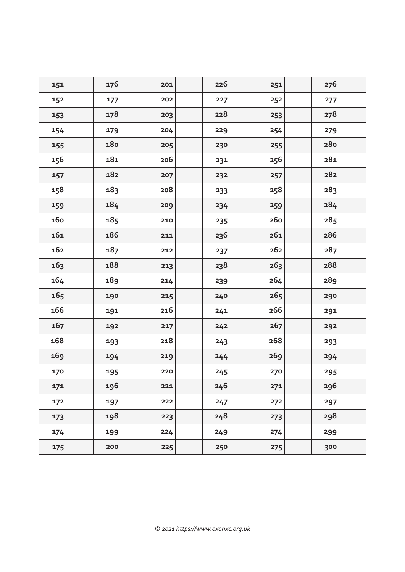| 151 | 176 | 201 | 226 | 251             | 276 |  |
|-----|-----|-----|-----|-----------------|-----|--|
| 152 | 177 | 202 | 227 | 252             | 277 |  |
| 153 | 178 | 203 | 228 | 253             | 278 |  |
| 154 | 179 | 204 | 229 | 254             | 279 |  |
| 155 | 180 | 205 | 230 | 255             | 280 |  |
| 156 | 181 | 206 | 231 | 256             | 281 |  |
| 157 | 182 | 207 | 232 | 257             | 282 |  |
| 158 | 183 | 208 | 233 | 258             | 283 |  |
| 159 | 184 | 209 | 234 | 259             | 284 |  |
| 160 | 185 | 210 | 235 | <b>260</b>      | 285 |  |
| 161 | 186 | 211 | 236 | 261             | 286 |  |
| 162 | 187 | 212 | 237 | 262             | 287 |  |
| 163 | 188 | 213 | 238 | 26 <sub>3</sub> | 288 |  |
| 164 | 189 | 214 | 239 | 264             | 289 |  |
| 165 | 190 | 215 | 240 | 265             | 290 |  |
| 166 | 191 | 216 | 241 | 266             | 291 |  |
| 167 | 192 | 217 | 242 | 267             | 292 |  |
| 168 | 193 | 218 | 243 | 268             | 293 |  |
| 169 | 194 | 219 | 244 | 269             | 294 |  |
| 170 | 195 | 220 | 245 | 270             | 295 |  |
| 171 | 196 | 221 | 246 | 271             | 296 |  |
| 172 | 197 | 222 | 247 | 272             | 297 |  |
| 173 | 198 | 223 | 248 | 273             | 298 |  |
| 174 | 199 | 224 | 249 | 274             | 299 |  |
| 175 | 200 | 225 | 250 | 275             | 300 |  |